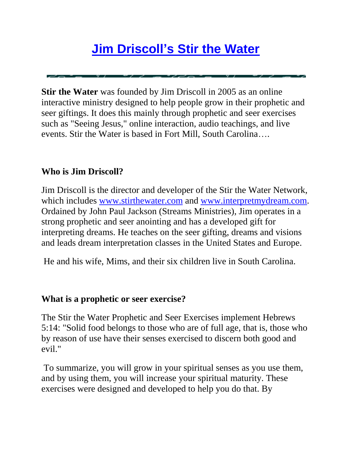## **[Jim Driscoll's Stir the Water](http://www.stirthewater.com/index.php?page_id=13)**

**Stir the Water** was founded by Jim Driscoll in 2005 as an online interactive ministry designed to help people grow in their prophetic and seer giftings. It does this mainly through prophetic and seer exercises such as "Seeing Jesus," online interaction, audio teachings, and live events. Stir the Water is based in Fort Mill, South Carolina….

## **Who is Jim Driscoll?**

Jim Driscoll is the director and developer of the Stir the Water Network, which includes [www.stirthewater.com](http://www.stirthewater.com/) and [www.interpretmydream.com.](http://www.interpretmydream.com/) Ordained by John Paul Jackson (Streams Ministries), Jim operates in a strong prophetic and seer anointing and has a developed gift for interpreting dreams. He teaches on the seer gifting, dreams and visions and leads dream interpretation classes in the United States and Europe.

He and his wife, Mims, and their six children live in South Carolina.

## **What is a prophetic or seer exercise?**

The Stir the Water Prophetic and Seer Exercises implement Hebrews 5:14: "Solid food belongs to those who are of full age, that is, those who by reason of use have their senses exercised to discern both good and evil."

To summarize, you will grow in your spiritual senses as you use them, and by using them, you will increase your spiritual maturity. These exercises were designed and developed to help you do that. By